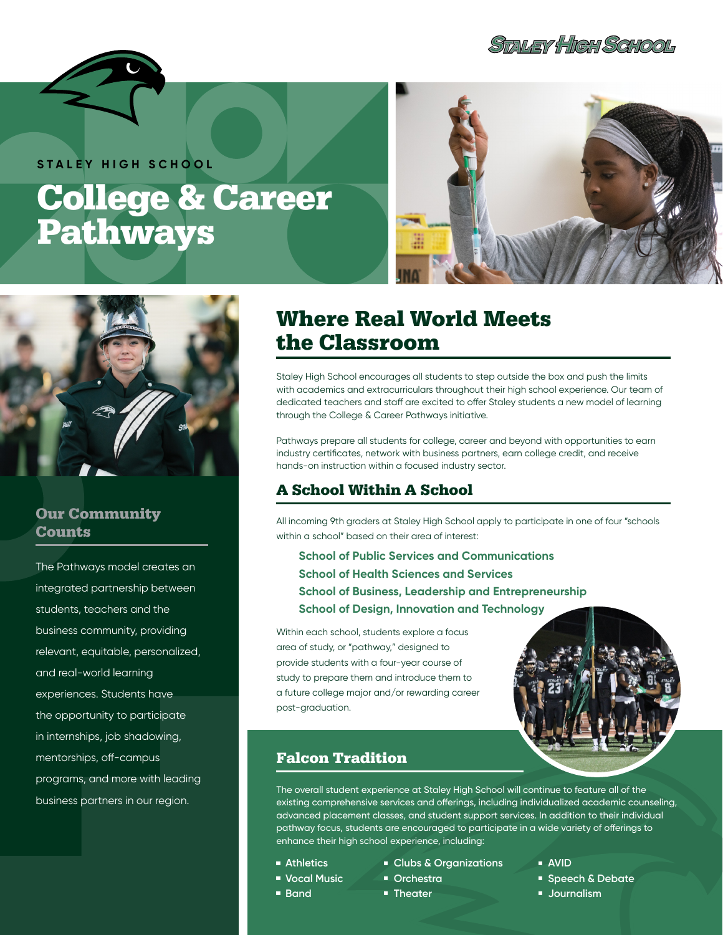**STALEY HIGH SCHOOL** 



**STALEY HIGH SCHOOL**

# College & Career Pathways





#### Our Community **Counts**

The Pathways model creates an integrated partnership between students, teachers and the business community, providing relevant, equitable, personalized, and real-world learning experiences. Students have the opportunity to participate in internships, job shadowing, mentorships, off-campus programs, and more with leading business partners in our region.

## Where Real World Meets the Classroom

Staley High School encourages all students to step outside the box and push the limits with academics and extracurriculars throughout their high school experience. Our team of dedicated teachers and staff are excited to offer Staley students a new model of learning through the College & Career Pathways initiative.

Pathways prepare all students for college, career and beyond with opportunities to earn industry certificates, network with business partners, earn college credit, and receive hands-on instruction within a focused industry sector.

## A School Within A School

All incoming 9th graders at Staley High School apply to participate in one of four "schools within a school" based on their area of interest:

**School of Public Services and Communications School of Health Sciences and Services School of Business, Leadership and Entrepreneurship School of Design, Innovation and Technology** 

Within each school, students explore a focus area of study, or "pathway," designed to provide students with a four-year course of study to prepare them and introduce them to a future college major and/or rewarding career post-graduation.



## Falcon Tradition

The overall student experience at Staley High School will continue to feature all of the existing comprehensive services and offerings, including individualized academic counseling, advanced placement classes, and student support services. In addition to their individual pathway focus, students are encouraged to participate in a wide variety of offerings to enhance their high school experience, including:

- **Athletics**
- **Vocal Music**
- **Band**
- **Clubs & Organizations**
- **Orchestra**
- **Theater**
- **AVID**
- **Speech & Debate**
- **Journalism**